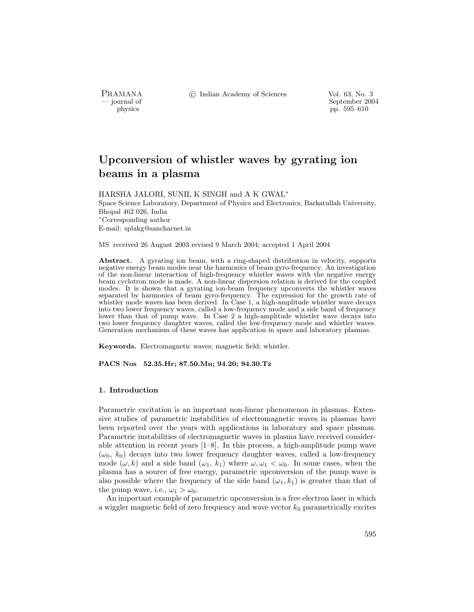PRAMANA °c Indian Academy of Sciences Vol. 63, No. 3

physics by the september 2004 september 2004 september 2004 september 2004 physics pp. 595–610

# Upconversion of whistler waves by gyrating ion beams in a plasma

HARSHA JALORI, SUNIL K SINGH and A K GWAL<sup>∗</sup>

Space Science Laboratory, Department of Physics and Electronics, Barkatullah University, Bhopal 462 026, India <sup>∗</sup>Corresponding author E-mail: splakg@sancharnet.in

MS received 26 August 2003 revised 9 March 2004; accepted 1 April 2004

Abstract. A gyrating ion beam, with a ring-shaped distribution in velocity, supports negative energy beam modes near the harmonics of beam gyro-frequency. An investigation of the non-linear interaction of high-frequency whistler waves with the negative energy beam cyclotron mode is made. A non-linear dispersion relation is derived for the coupled modes. It is shown that a gyrating ion-beam frequency upconverts the whistler waves separated by harmonics of beam gyro-frequency. The expression for the growth rate of whistler mode waves has been derived. In Case 1, a high-amplitude whistler wave decays into two lower frequency waves, called a low-frequency mode and a side band of frequency lower than that of pump wave. In Case 2 a high-amplitude whistler wave decays into two lower frequency daughter waves, called the low-frequency mode and whistler waves. Generation mechanism of these waves has application in space and laboratory plasmas.

Keywords. Electromagnetic waves; magnetic field; whistler.

PACS Nos 52.35.Hr; 87.50.Mn; 94.20; 94.30.Tz

# 1. Introduction

Parametric excitation is an important non-linear phenomenon in plasmas. Extensive studies of parametric instabilities of electromagnetic waves in plasmas have been reported over the years with applications in laboratory and space plasmas. Parametric instabilities of electromagnetic waves in plasma have received considerable attention in recent years [1–8]. In this process, a high-amplitude pump wave  $(\omega_0, k_0)$  decays into two lower frequency daughter waves, called a low-frequency mode  $(\omega, k)$  and a side band  $(\omega_1, k_1)$  where  $\omega, \omega_1 < \omega_0$ . In some cases, when the plasma has a source of free energy, parametric upconversion of the pump wave is also possible where the frequency of the side band  $(\omega_1, k_1)$  is greater than that of the pump wave, i.e.,  $\omega_1 > \omega_0$ .

An important example of parametric upconversion is a free electron laser in which a wiggler magnetic field of zero frequency and wave vector  $k_0$  parametrically excites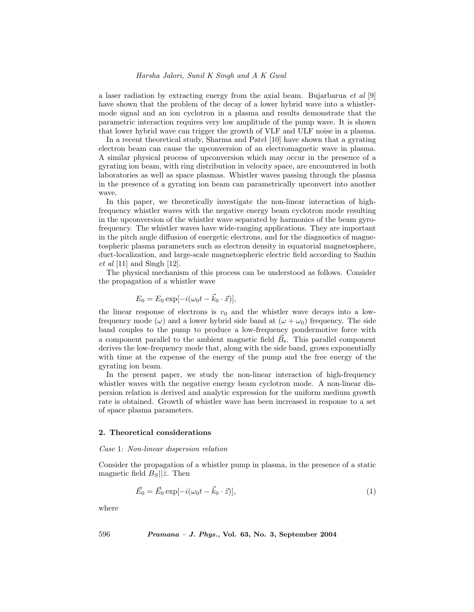a laser radiation by extracting energy from the axial beam. Bujarbarua et al [9] have shown that the problem of the decay of a lower hybrid wave into a whistlermode signal and an ion cyclotron in a plasma and results demonstrate that the parametric interaction requires very low amplitude of the pump wave. It is shown that lower hybrid wave can trigger the growth of VLF and ULF noise in a plasma.

In a recent theoretical study, Sharma and Patel [10] have shown that a gyrating electron beam can cause the upconversion of an electromagnetic wave in plasma. A similar physical process of upconversion which may occur in the presence of a gyrating ion beam, with ring distribution in velocity space, are encountered in both laboratories as well as space plasmas. Whistler waves passing through the plasma in the presence of a gyrating ion beam can parametrically upconvert into another wave.

In this paper, we theoretically investigate the non-linear interaction of highfrequency whistler waves with the negative energy beam cyclotron mode resulting in the upconversion of the whistler wave separated by harmonics of the beam gyrofrequency. The whistler waves have wide-ranging applications. They are important in the pitch angle diffusion of energetic electrons, and for the diagnostics of magnetospheric plasma parameters such as electron density in equatorial magnetosphere, duct-localization, and large-scale magnetospheric electric field according to Sazhin  $et \ al \ [11]$  and Singh  $[12]$ .

The physical mechanism of this process can be understood as follows. Consider the propagation of a whistler wave

$$
E_0 = E_0 \exp[-i(\omega_0 t - \vec{k}_0 \cdot \vec{x})],
$$

the linear response of electrons is  $v_0$  and the whistler wave decays into a lowfrequency mode  $(\omega)$  and a lower hybrid side band at  $(\omega + \omega_0)$  frequency. The side band couples to the pump to produce a low-frequency pondermotive force with a component parallel to the ambient magnetic field  $\vec{B}_{s}$ . This parallel component derives the low-frequency mode that, along with the side band, grows exponentially with time at the expense of the energy of the pump and the free energy of the gyrating ion beam.

In the present paper, we study the non-linear interaction of high-frequency whistler waves with the negative energy beam cyclotron mode. A non-linear dispersion relation is derived and analytic expression for the uniform medium growth rate is obtained. Growth of whistler wave has been increased in response to a set of space plasma parameters.

## 2. Theoretical considerations

#### Case 1: Non-linear dispersion relation

Consider the propagation of a whistler pump in plasma, in the presence of a static magnetic field  $B_s||\hat{z}$ . Then

$$
\vec{E}_0 = \vec{E}_0 \exp[-i(\omega_0 t - \vec{k}_0 \cdot \vec{z})],\tag{1}
$$

where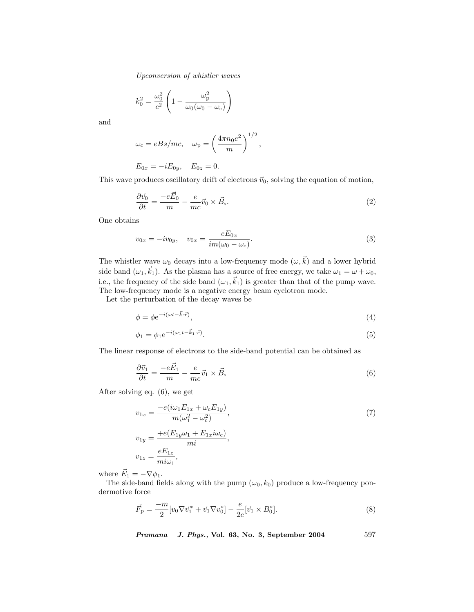$$
k_0^2 = \frac{\omega_0^2}{c^2} \left( 1 - \frac{\omega_{\rm p}^2}{\omega_0(\omega_0 - \omega_{\rm c})} \right)
$$

and

$$
\omega_c = eBs/mc
$$
,  $\omega_p = \left(\frac{4\pi n_0 e^2}{m}\right)^{1/2}$ ,

 $E_{0x} = -iE_{0y}, \quad E_{0z} = 0.$ 

This wave produces oscillatory drift of electrons  $\vec{v}_0$ , solving the equation of motion,

$$
\frac{\partial \vec{v}_0}{\partial t} = \frac{-e\vec{E}_0}{m} - \frac{e}{mc}\vec{v}_0 \times \vec{B}_s.
$$
 (2)

One obtains

$$
v_{0x} = -iv_{0y}, \quad v_{0x} = \frac{eE_{0x}}{im(\omega_0 - \omega_c)}.
$$
\n(3)

The whistler wave  $\omega_0$  decays into a low-frequency mode  $(\omega, \vec{k})$  and a lower hybrid side band  $(\omega_1, \vec{k}_1)$ . As the plasma has a source of free energy, we take  $\omega_1 = \omega + \omega_0$ , i.e., the frequency of the side band  $(\omega_1, \vec{k}_1)$  is greater than that of the pump wave. The low-frequency mode is a negative energy beam cyclotron mode.

Let the perturbation of the decay waves be

$$
\phi = \phi e^{-i(\omega t - \vec{k} \cdot \vec{r})},\tag{4}
$$

$$
\phi_1 = \phi_1 e^{-i(\omega_1 t - \vec{k}_1 \cdot \vec{r})}.\tag{5}
$$

The linear response of electrons to the side-band potential can be obtained as

$$
\frac{\partial \vec{v}_1}{\partial t} = \frac{-e\vec{E}_1}{m} - \frac{e}{mc}\vec{v}_1 \times \vec{B}_s
$$
\n<sup>(6)</sup>

After solving eq. (6), we get

$$
v_{1x} = \frac{-e(i\omega_1 E_{1x} + \omega_c E_{1y})}{m(\omega_1^2 - \omega_c^2)},
$$
  
\n
$$
v_{1y} = \frac{+e(E_{1y}\omega_1 + E_{1x}i\omega_c)}{mi},
$$
  
\n
$$
v_{1z} = \frac{eE_{1z}}{mi\omega_1},
$$
  
\n(7)

where  $\vec{E}_1 = -\nabla \phi_1$ .

The side-band fields along with the pump  $(\omega_0, k_0)$  produce a low-frequency pondermotive force

$$
\vec{F}_{\rm p} = \frac{-m}{2} [v_0 \nabla \vec{v}_1^* + \vec{v}_1 \nabla v_0^*] - \frac{e}{2c} [\vec{v}_1 \times B_0^*]. \tag{8}
$$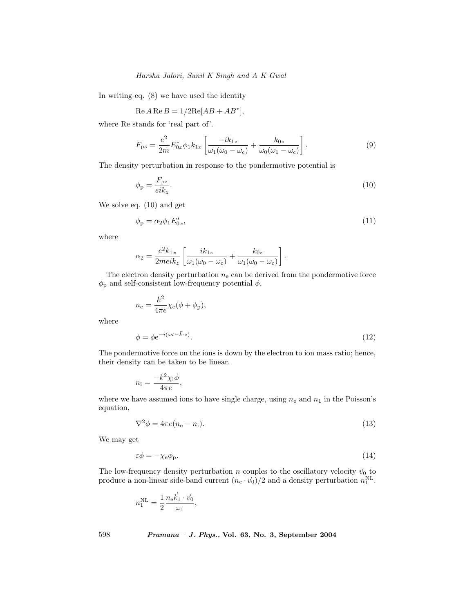In writing eq. (8) we have used the identity

$$
Re A Re B = 1/2 Re[AB + AB^*],
$$

where Re stands for 'real part of'.

$$
F_{\rm pz} = \frac{e^2}{2m} E_{0x}^* \phi_1 k_{1x} \left[ \frac{-ik_{1z}}{\omega_1(\omega_0 - \omega_{\rm c})} + \frac{k_{0z}}{\omega_0(\omega_1 - \omega_{\rm c})} \right]. \tag{9}
$$

The density perturbation in response to the pondermotive potential is

$$
\phi_{\rm p} = \frac{F_{\rm pz}}{eik_z}.\tag{10}
$$

We solve eq. (10) and get

$$
\phi_{\mathbf{p}} = \alpha_2 \phi_1 E_{0x}^*,\tag{11}
$$

where

where

$$
\alpha_2 = \frac{e^2 k_{1x}}{2meik_z} \left[ \frac{ik_{1z}}{\omega_1(\omega_0 - \omega_c)} + \frac{k_{0z}}{\omega_1(\omega_0 - \omega_c)} \right].
$$

The electron density perturbation  $n_e$  can be derived from the pondermotive force  $\phi_{\rm p}$  and self-consistent low-frequency potential  $\phi,$ 

$$
n_{\rm e} = \frac{k^2}{4\pi e} \chi_{\rm e}(\phi + \phi_{\rm p}),
$$

$$
\phi = \phi e^{-i(\omega t - \vec{k} \cdot z)}.
$$
\n(12)

The pondermotive force on the ions is down by the electron to ion mass ratio; hence, their density can be taken to be linear.

$$
n_{\rm i} = \frac{-k^2 \chi_{\rm i} \phi}{4\pi e},
$$

where we have assumed ions to have single charge, using  $n_e$  and  $n_1$  in the Poisson's equation,

$$
\nabla^2 \phi = 4\pi e(n_e - n_i). \tag{13}
$$

We may get

$$
\varepsilon \phi = -\chi_{\rm e} \phi_{\rm p}.\tag{14}
$$

The low-frequency density perturbation n couples to the oscillatory velocity  $\vec{v}_0$  to produce a non-linear side-band current  $(n_e \cdot \vec{v}_0)/2$  and a density perturbation  $n_1^{\text{NL}}$ .

$$
n_1^{\text{NL}} = \frac{1}{2} \frac{n_{\text{e}} \vec{k}_1 \cdot \vec{v}_0}{\omega_1},
$$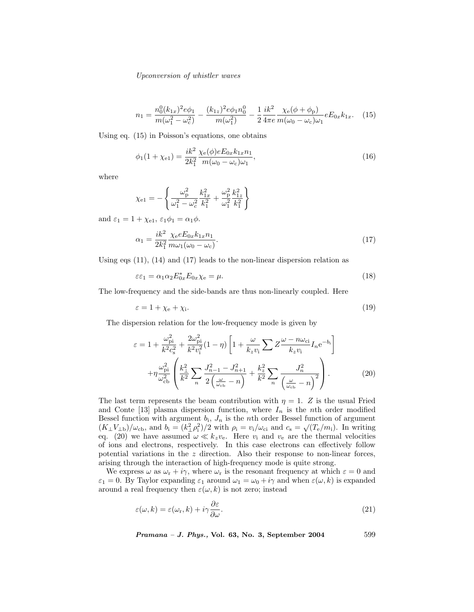$$
n_1 = \frac{n_0^0 (k_{1x})^2 e\phi_1}{m(\omega_1^2 - \omega_c^2)} - \frac{(k_{1z})^2 e\phi_1 n_0^0}{m(\omega_1^2)} - \frac{1}{2} \frac{ik^2}{4\pi e} \frac{\chi_e(\phi + \phi_p)}{m(\omega_0 - \omega_c)\omega_1} eE_{0x}k_{1x}.
$$
 (15)

Using eq. (15) in Poisson's equations, one obtains

$$
\phi_1(1+\chi_{e1}) = \frac{ik^2}{2k_1^2} \frac{\chi_e(\phi)eE_{0x}k_{1x}n_1}{m(\omega_0 - \omega_c)\omega_1},\tag{16}
$$

where

$$
\chi_{e1} = -\left\{ \frac{\omega_{p}^{2}}{\omega_{1}^{2} - \omega_{c}^{2}} \frac{k_{1x}^{2}}{k_{1}^{2}} + \frac{\omega_{p}^{2}}{\omega_{1}^{2}} \frac{k_{1z}^{2}}{k_{1}^{2}} \right\}
$$

and  $\varepsilon_1 = 1 + \chi_{e1}, \varepsilon_1 \phi_1 = \alpha_1 \phi$ .

$$
\alpha_1 = \frac{ik^2}{2k_1^2} \frac{\chi_e e E_{0x} k_{1x} n_1}{m \omega_1 (\omega_0 - \omega_c)}.
$$
\n(17)

Using eqs (11), (14) and (17) leads to the non-linear dispersion relation as

$$
\varepsilon \varepsilon_1 = \alpha_1 \alpha_2 E_{0x}^* E_{0x} \chi_e = \mu. \tag{18}
$$

The low-frequency and the side-bands are thus non-linearly coupled. Here

$$
\varepsilon = 1 + \chi_{\rm e} + \chi_{\rm i}.\tag{19}
$$

The dispersion relation for the low-frequency mode is given by

$$
\varepsilon = 1 + \frac{\omega_{\text{pi}}^2}{k^2 c_s^2} + \frac{2\omega_{\text{pi}}^2}{k^2 v_i^2} (1 - \eta) \left[ 1 + \frac{\omega}{k_z v_i} \sum Z \frac{\omega - n\omega_{\text{ci}}}{k_z v_i} I_n e^{-b_i} \right]
$$

$$
+ \eta \frac{\omega_{\text{pi}}^2}{\omega_{\text{cb}}^2} \left( \frac{k_{\perp}^2}{k^2} \sum_n \frac{J_{n-1}^2 - J_{n+1}^2}{2\left(\frac{\omega}{\omega_{\text{cb}}} - n\right)} + \frac{k_z^2}{k^2} \sum_n \frac{J_n^2}{\left(\frac{\omega}{\omega_{\text{cb}}} - n\right)^2} \right). \tag{20}
$$

The last term represents the beam contribution with  $\eta = 1$ . Z is the usual Fried and Conte [13] plasma dispersion function, where  $I_n$  is the nth order modified Bessel function with argument  $b_i$ ,  $J_n$  is the nth order Bessel function of argument  $(K_{\perp}V_{\perp b})/\omega_{cb}$ , and  $b_i = (k_{\perp}^2\rho_i^2)/2$  with  $\rho_i = v_i/\omega_{ci}$  and  $c_s = \sqrt{T_e/m_i}$ ). In writing eq. (20) we have assumed  $\omega \ll k_z v_e$ . Here  $v_i$  and  $v_e$  are the thermal velocities of ions and electrons, respectively. In this case electrons can effectively follow potential variations in the z direction. Also their response to non-linear forces, arising through the interaction of high-frequency mode is quite strong.

We express  $\omega$  as  $\omega_r + i\gamma$ , where  $\omega_r$  is the resonant frequency at which  $\varepsilon = 0$  and  $\varepsilon_1 = 0$ . By Taylor expanding  $\varepsilon_1$  around  $\omega_1 = \omega_0 + i\gamma$  and when  $\varepsilon(\omega, k)$  is expanded around a real frequency then  $\varepsilon(\omega, k)$  is not zero; instead

$$
\varepsilon(\omega, k) = \varepsilon(\omega_{\rm r}, k) + i\gamma \frac{\partial \varepsilon}{\partial \omega}.
$$
\n(21)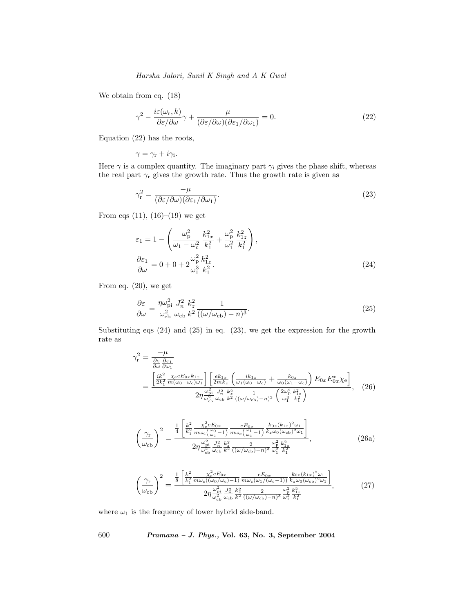We obtain from eq. (18)

$$
\gamma^2 - \frac{i\varepsilon(\omega_r, k)}{\partial \varepsilon/\partial \omega}\gamma + \frac{\mu}{(\partial \varepsilon/\partial \omega)(\partial \varepsilon_1/\partial \omega_1)} = 0.
$$
\n(22)

Equation (22) has the roots,

$$
\gamma = \gamma_{\rm r} + i\gamma_{\rm i}.
$$

Here  $\gamma$  is a complex quantity. The imaginary part  $\gamma_i$  gives the phase shift, whereas the real part  $\gamma$ <sub>r</sub> gives the growth rate. Thus the growth rate is given as

$$
\gamma_{\rm r}^2 = \frac{-\mu}{(\partial \varepsilon/\partial \omega)(\partial \varepsilon_1/\partial \omega_1)}.\tag{23}
$$

From eqs  $(11)$ ,  $(16)-(19)$  we get

$$
\varepsilon_{1} = 1 - \left( \frac{\omega_{\rm p}^{2}}{\omega_{1} - \omega_{\rm c}^{2}} \frac{k_{1x}^{2}}{k_{1}^{2}} + \frac{\omega_{\rm p}^{2}}{\omega_{1}^{2}} \frac{k_{1z}^{2}}{k_{1}^{2}} \right),
$$
  
\n
$$
\frac{\partial \varepsilon_{1}}{\partial \omega} = 0 + 0 + 2 \frac{\omega_{\rm p}^{2}}{\omega_{1}^{3}} \frac{k_{1z}^{2}}{k_{1}^{2}}.
$$
\n(24)

From eq. (20), we get

$$
\frac{\partial \varepsilon}{\partial \omega} = \frac{\eta \omega_{\rm pi}^2}{\omega_{\rm cb}^2} \frac{J_n^2}{\omega_{\rm cb}} \frac{k_z^2}{k^2} \frac{1}{((\omega/\omega_{\rm cb}) - n)^3}.
$$
\n(25)

Substituting eqs (24) and (25) in eq. (23), we get the expression for the growth rate as

$$
\gamma_{\rm r}^{2} = \frac{-\mu}{\frac{\partial \varepsilon}{\partial \omega} \frac{\partial \varepsilon_{1}}{\partial \omega_{1}}} \\
= \frac{\left[\frac{ik^{2}}{2k_{1}^{2}} \frac{\chi_{\rm e} \varepsilon E_{0x} k_{1x}}{m(\omega_{0} - \omega_{\rm c})\omega_{1}}\right] \left[\frac{ek_{1x}}{2mk_{z}} \left(\frac{ik_{1z}}{\omega_{1}(\omega_{0} - \omega_{\rm c})} + \frac{k_{0z}}{\omega_{0}(\omega_{1} - \omega_{\rm c})}\right) E_{0x} E_{0x}^{*} \chi_{\rm e}\right]}{2\eta \frac{\omega_{\rm pi}^{2}}{\omega_{\rm cb}^{2}} \frac{J_{n}^{2}}{\omega_{\rm cb} k^{2}} \frac{k_{z}}{k^{2}} \frac{1}{((\omega/\omega_{\rm cb}) - n)^{3}} \left(\frac{2\omega_{\rm p}^{2}}{\omega_{1}^{3}} \frac{k_{1z}^{2}}{k_{1}^{2}}\right)}, \quad (26)
$$

$$
\left(\frac{\gamma_{\rm r}}{\omega_{\rm cb}}\right)^2 = \frac{\frac{1}{4} \left[\frac{k^2}{k_1^2} \frac{\chi_{\rm c}^2 e E_{0x}}{m \omega_{\rm c} \left(\frac{\omega_0}{\omega_{\rm c}}-1\right)} \frac{e E_{0x}}{m \omega_{\rm c} \left(\frac{\omega_1}{\omega_{\rm c}}-1\right)} \frac{k_{0z} (k_{1x})^2 \omega_1}{k_z \omega_0 (\omega_{\rm cb})^2 \omega_1} \right]}{2 \eta \frac{\omega_{\rm pt}^2}{\omega_{\rm cb}^3} \frac{J_n^2}{k^2} \frac{k_z^2}{((\omega/\omega_{\rm cb})-n)^3} \frac{\omega_{\rm p}^2}{\omega_1^2} \frac{k_{1z}^2}{k_1^2}},\tag{26a}
$$

$$
\left(\frac{\gamma_{\rm r}}{\omega_{\rm cb}}\right)^2 = \frac{\frac{1}{8} \left[\frac{k^2}{k_1^2} \frac{\chi_{\rm e}^2 e E_{0x}}{m \omega_{\rm c}((\omega_0/\omega_{\rm c})-1)} \frac{e E_{0x}}{m \omega_{\rm c}(\omega_1/(\omega_{\rm c}-1))} \frac{k_{0z}(k_{1x})^2 \omega_1}{k_z \omega_0(\omega_{\rm cb})^2 \omega_1}\right]}{2 \eta \frac{\omega_{\rm pi}^2}{\omega_{\rm cb}^2} \frac{J_n^2}{\omega_{\rm cb}} \frac{k_z^2}{k^2} \frac{2}{((\omega/\omega_{\rm cb})-n)^3} \frac{\omega_p^2}{\omega_1^2} \frac{k_{1z}^2}{k_1^2}}{k_1^2}},\tag{27}
$$

where  $\omega_1$  is the frequency of lower hybrid side-band.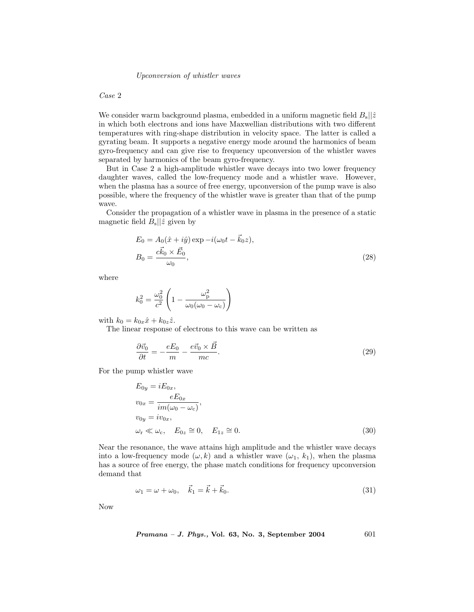## Case 2

We consider warm background plasma, embedded in a uniform magnetic field  $B_s||\hat{z}$ in which both electrons and ions have Maxwellian distributions with two different temperatures with ring-shape distribution in velocity space. The latter is called a gyrating beam. It supports a negative energy mode around the harmonics of beam gyro-frequency and can give rise to frequency upconversion of the whistler waves separated by harmonics of the beam gyro-frequency.

But in Case 2 a high-amplitude whistler wave decays into two lower frequency daughter waves, called the low-frequency mode and a whistler wave. However, when the plasma has a source of free energy, upconversion of the pump wave is also possible, where the frequency of the whistler wave is greater than that of the pump wave.

Consider the propagation of a whistler wave in plasma in the presence of a static magnetic field  $B_{\rm s}||\hat{z}$  given by

$$
E_0 = A_0(\hat{x} + i\hat{y}) \exp -i(\omega_0 t - \vec{k}_0 z),
$$
  
\n
$$
B_0 = \frac{c\vec{k}_0 \times \vec{E}_0}{\omega_0},
$$
\n(28)

where

$$
k_0^2 = \frac{\omega_0^2}{c^2} \left( 1 - \frac{\omega_{\rm p}^2}{\omega_0(\omega_0 - \omega_{\rm c})} \right)
$$

with  $k_0 = k_{0x}\hat{x} + k_{0z}\hat{z}$ .

The linear response of electrons to this wave can be written as

$$
\frac{\partial \vec{v}_0}{\partial t} = -\frac{eE_0}{m} - \frac{e\vec{v}_0 \times \vec{B}}{mc}.
$$
\n(29)

For the pump whistler wave

$$
E_{0y} = iE_{0x},
$$
  
\n
$$
v_{0x} = \frac{eE_{0x}}{im(\omega_0 - \omega_c)},
$$
  
\n
$$
v_{0y} = iv_{0x},
$$
  
\n
$$
\omega_r \ll \omega_c, \quad E_{0z} \cong 0, \quad E_{1z} \cong 0.
$$
\n(30)

Near the resonance, the wave attains high amplitude and the whistler wave decays into a low-frequency mode  $(\omega, k)$  and a whistler wave  $(\omega_1, k_1)$ , when the plasma has a source of free energy, the phase match conditions for frequency upconversion demand that

$$
\omega_1 = \omega + \omega_0, \quad \vec{k}_1 = \vec{k} + \vec{k}_0. \tag{31}
$$

Now

$$
Pramana - J. Phys., Vol. 63, No. 3, September 2004 \qquad \qquad 601
$$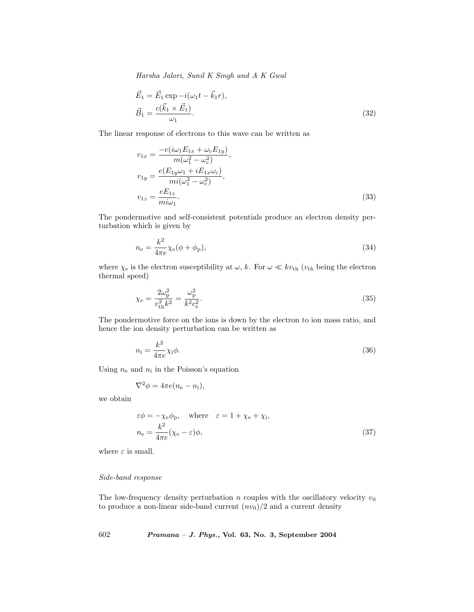$$
\vec{E}_1 = \vec{E}_1 \exp -i(\omega_1 t - \vec{k}_1 r), \n\vec{B}_1 = \frac{c(\vec{k}_1 \times \vec{E}_1)}{\omega_1}.
$$
\n(32)

The linear response of electrons to this wave can be written as

$$
v_{1x} = \frac{-e(i\omega_1 E_{1x} + \omega_c E_{1y})}{m(\omega_1^2 - \omega_c^2)},
$$
  
\n
$$
v_{1y} = \frac{e(E_{1y}\omega_1 + iE_{1x}\omega_c)}{mi(\omega_1^2 - \omega_c^2)},
$$
  
\n
$$
v_{1z} = \frac{eE_{1z}}{mi\omega_1}.
$$
\n(33)

The pondermotive and self-consistent potentials produce an electron density perturbation which is given by

$$
n_{\rm e} = \frac{k^2}{4\pi e} \chi_{\rm e}(\phi + \phi_{\rm p}),\tag{34}
$$

where  $\chi_e$  is the electron susceptibility at  $\omega$ , k. For  $\omega \ll k v_{\text{th}} (v_{\text{th}})$  being the electron thermal speed)

$$
\chi_{\rm e} = \frac{2\omega_{\rm p}^2}{v_{\rm th}^2 k^2} = \frac{\omega_{\rm p}^2}{k^2 c_{\rm s}^2}.
$$
\n(35)

The pondermotive force on the ions is down by the electron to ion mass ratio, and hence the ion density perturbation can be written as

$$
n_{\rm i} = \frac{k^2}{4\pi e} \chi_{\rm i} \phi. \tag{36}
$$

Using  $n_e$  and  $n_i$  in the Poisson's equation

$$
\nabla^2 \phi = 4\pi e (n_{\rm e} - n_{\rm i}),
$$

we obtain

$$
\varepsilon \phi = -\chi_{\rm e} \phi_{\rm p}, \quad \text{where} \quad \varepsilon = 1 + \chi_{\rm e} + \chi_{\rm i},
$$

$$
n_{\rm e} = \frac{k^2}{4\pi e} (\chi_{\rm e} - \varepsilon) \phi,
$$
 (37)

where  $\varepsilon$  is small.

# Side-band response

The low-frequency density perturbation n couples with the oscillatory velocity  $v_0$ to produce a non-linear side-band current  $(nv_0)/2$  and a current density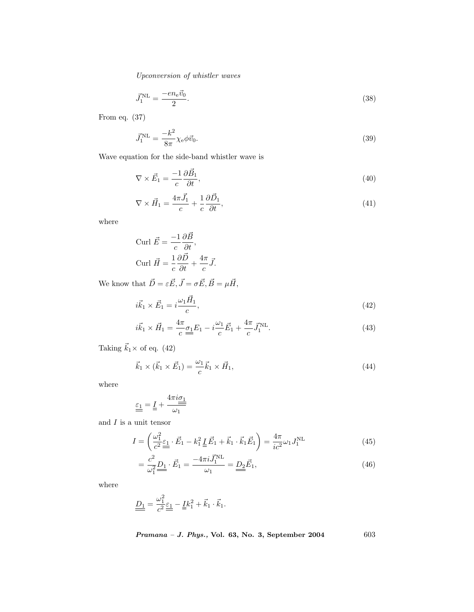$$
\vec{J}_1^{\text{NL}} = \frac{-e n_e \vec{v}_0}{2}.
$$
\n(38)

From eq. (37)

$$
\vec{J}_1^{\text{NL}} = \frac{-k^2}{8\pi} \chi_{\text{e}} \phi \vec{v}_0. \tag{39}
$$

Wave equation for the side-band whistler wave is

$$
\nabla \times \vec{E}_1 = \frac{-1}{c} \frac{\partial \vec{B}_1}{\partial t},\tag{40}
$$

$$
\nabla \times \vec{H}_1 = \frac{4\pi \vec{J}_1}{c} + \frac{1}{c} \frac{\partial \vec{D}_1}{\partial t},\tag{41}
$$

where

$$
\text{Curl } \vec{E} = \frac{-1}{c} \frac{\partial \vec{B}}{\partial t},
$$
\n
$$
\text{Curl } \vec{H} = \frac{1}{c} \frac{\partial \vec{D}}{\partial t} + \frac{4\pi}{c} \vec{J}.
$$

We know that  $\vec{D} = \varepsilon \vec{E}, \vec{J} = \sigma \vec{E}, \vec{B} = \mu \vec{H},$ 

$$
i\vec{k}_1 \times \vec{E}_1 = i\frac{\omega_1 \vec{H}_1}{c},\tag{42}
$$

$$
i\vec{k}_1 \times \vec{H}_1 = \frac{4\pi}{c} \underline{\sigma_1} E_1 - i \frac{\omega_1}{c} \vec{E}_1 + \frac{4\pi}{c} \vec{J}_1^{\text{NL}}.
$$
\n(43)

Taking  $\vec{k}_1 \times$  of eq. (42)

$$
\vec{k}_1 \times (\vec{k}_1 \times \vec{E}_1) = \frac{\omega_1}{c} \vec{k}_1 \times \vec{H}_1,\tag{44}
$$

where

$$
\underline{\underline{\varepsilon_1}} = \underline{I} + \frac{4\pi i \underline{\sigma_1}}{\omega_1}
$$

and  $I$  is a unit tensor

$$
I = \left(\frac{\omega_1^2}{c^2} \underline{\underline{\epsilon}}_1 \cdot \vec{E}_1 - k_1^2 \underline{\underline{I}} \vec{E}_1 + \vec{k}_1 \cdot \vec{k}_1 \vec{E}_1\right) = \frac{4\pi}{ic^2} \omega_1 J_1^{\text{NL}} \tag{45}
$$

$$
= \frac{c^2}{\omega_1^2} \underline{D_1} \cdot \vec{E_1} = \frac{-4\pi i \vec{J_1}^{NL}}{\omega_1} = \underline{D_2} \vec{E_1},\tag{46}
$$

where

$$
\underline{\underline{D_1}} = \frac{\omega_1^2}{c^2} \underline{\underline{\varepsilon_1}} - \underline{\underline{I}} k_1^2 + \vec{k}_1 \cdot \vec{k}_1.
$$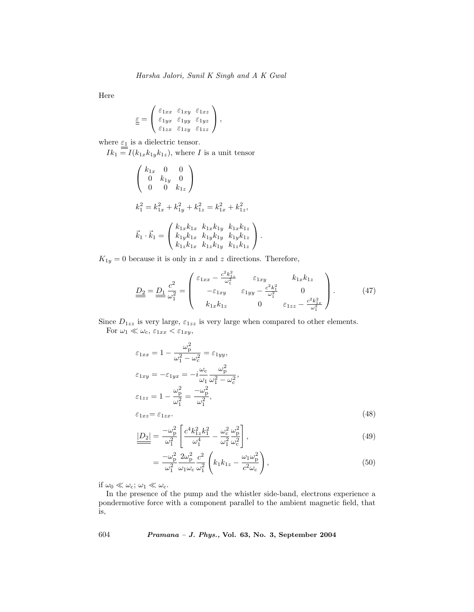Here

$$
\underline{\underline{\varepsilon}} = \begin{pmatrix} \varepsilon_{1xx} & \varepsilon_{1xy} & \varepsilon_{1xz} \\ \varepsilon_{1yx} & \varepsilon_{1yy} & \varepsilon_{1yz} \\ \varepsilon_{1zx} & \varepsilon_{1zy} & \varepsilon_{1zz} \end{pmatrix},
$$

where  $\varepsilon_1$  is a dielectric tensor.  $Ik_1 = I(k_{1x}k_{1y}k_{1z}),$  where I is a unit tensor  $\sqrt{ }$  $\mathcal{L}$  $k_{1x}$  0 0 0  $k_{1y}$  0 0 0  $k_{1z}$  $\setminus$  $\overline{1}$  $k_1^2 = k_{1x}^2 + k_{1y}^2 + k_{1z}^2 = k_{1x}^2 + k_{1z}^2,$  $\vec{k}_1 \cdot \vec{k}_1 =$  $\sqrt{ }$  $\mathcal{L}$  $k_{1x}k_{1x}$   $k_{1x}k_{1y}$   $k_{1x}k_{1z}$  $k_{1y}k_{1x}$   $k_{1y}k_{1y}$   $k_{1y}k_{1z}$  $k_{1z}k_{1x}$   $k_{1z}k_{1y}$   $k_{1z}k_{1z}$  $\setminus$  $\vert \cdot$ 

 $K_{1y} = 0$  because it is only in x and z directions. Therefore,

$$
\underline{\underline{D_2}} = \underline{\underline{D_1}} \frac{c^2}{\omega_1^2} = \begin{pmatrix} \varepsilon_{1xx} - \frac{c^2 k_{1z}^2}{\omega_1^2} & \varepsilon_{1xy} & k_{1x} k_{1z} \\ -\varepsilon_{1xy} & \varepsilon_{1yy} - \frac{c^2 k_1^2}{\omega_1^2} & 0 \\ k_{1x} k_{1z} & 0 & \varepsilon_{1zz} - \frac{c^2 k_{1x}^2}{\omega_1^2} \end{pmatrix} . \tag{47}
$$

Since  $D_{1zz}$  is very large,  $\varepsilon_{1zz}$  is very large when compared to other elements.

For  $\omega_1 \ll \omega_c$ ,  $\varepsilon_{1xx} < \varepsilon_{1xy}$ ,

$$
\varepsilon_{1xx} = 1 - \frac{\omega_p^2}{\omega_1^2 - \omega_c^2} = \varepsilon_{1yy},
$$
  
\n
$$
\varepsilon_{1xy} = -\varepsilon_{1yx} = -i\frac{\omega_c}{\omega_1}\frac{\omega_p^2}{\omega_1^2 - \omega_c^2},
$$
  
\n
$$
\varepsilon_{1zz} = 1 - \frac{\omega_p^2}{\omega_1^2} = \frac{-\omega_p^2}{\omega_1^2},
$$
  
\n
$$
\varepsilon_{1xz} = \varepsilon_{1zx}.
$$
 (48)

$$
\underline{|D_2|} = \frac{-\omega_{\rm p}^2}{\omega_1^2} \left[ \frac{c^4 k_{1z}^2 k_1^2}{\omega_1^4} - \frac{\omega_{\rm c}^2}{\omega_1^2} \frac{\omega_{\rm p}^2}{\omega_{\rm c}^2} \right],\tag{49}
$$

$$
=\frac{-\omega_{\rm p}^2}{\omega_1^2} \frac{2\omega_{\rm p}^2}{\omega_1 \omega_{\rm c}} \frac{c^2}{\omega_1^2} \left(k_1 k_{1z} - \frac{\omega_1 \omega_{\rm p}^2}{c^2 \omega_{\rm c}}\right),\tag{50}
$$

if  $\omega_0 \ll \omega_{\rm c}$ ;  $\omega_1 \ll \omega_{\rm c}$ .

In the presence of the pump and the whistler side-band, electrons experience a pondermotive force with a component parallel to the ambient magnetic field, that is,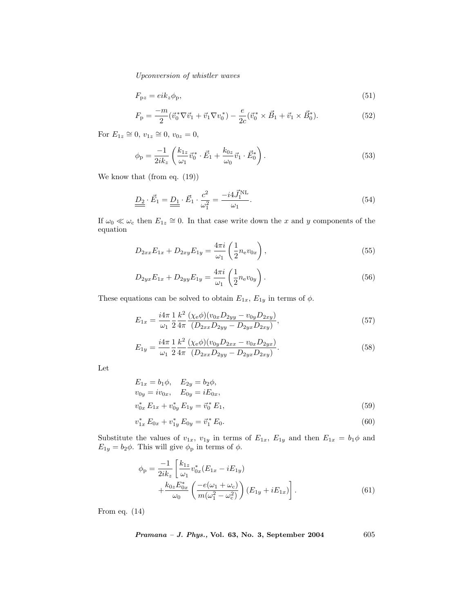$$
F_{\mathbf{p}z} = eik_z\phi_{\mathbf{p}},\tag{51}
$$

$$
F_{\rm p} = \frac{-m}{2} (\vec{v}_0^* \nabla \vec{v}_1 + \vec{v}_1 \nabla v_0^*) - \frac{e}{2c} (\vec{v}_0^* \times \vec{B}_1 + \vec{v}_1 \times \vec{B}_0^*).
$$
 (52)

For  $E_{1z} \cong 0$ ,  $v_{1z} \cong 0$ ,  $v_{0z} = 0$ ,

$$
\phi_{\rm p} = \frac{-1}{2ik_z} \left( \frac{k_{1z}}{\omega_1} \vec{v}_0^* \cdot \vec{E}_1 + \frac{k_{0z}}{\omega_0} \vec{v}_1 \cdot \vec{E}_0^* \right). \tag{53}
$$

We know that (from eq. (19))

$$
\underline{\underline{D_2}} \cdot \vec{E_1} = \underline{\underline{D_1}} \cdot \vec{E_1} \cdot \frac{c^2}{\omega_1^2} = \frac{-i4\vec{J}_1^{\text{NL}}}{\omega_1}.
$$
\n(54)

If  $\omega_0 \ll \omega_c$  then  $E_{1z} \cong 0$ . In that case write down the x and y components of the equation

$$
D_{2xx}E_{1x} + D_{2xy}E_{1y} = \frac{4\pi i}{\omega_1} \left(\frac{1}{2}n_e v_{0x}\right),\tag{55}
$$

$$
D_{2yx}E_{1x} + D_{2yy}E_{1y} = \frac{4\pi i}{\omega_1} \left(\frac{1}{2}n_{\rm e}v_{0y}\right). \tag{56}
$$

These equations can be solved to obtain  $E_{1x}$ ,  $E_{1y}$  in terms of  $\phi$ .

$$
E_{1x} = \frac{i4\pi}{\omega_1} \frac{1}{2} \frac{k^2}{4\pi} \frac{(\chi_e \phi)(v_{0x} D_{2yy} - v_{0y} D_{2xy})}{(D_{2xx} D_{2yy} - D_{2yx} D_{2xy})},
$$
(57)

$$
E_{1y} = \frac{i4\pi}{\omega_1} \frac{1}{2} \frac{k^2}{4\pi} \frac{(\chi_e \phi)(v_{0y} D_{2xx} - v_{0x} D_{2yx})}{(D_{2xx} D_{2yy} - D_{2yx} D_{2xy})}.
$$
(58)

Let

$$
E_{1x} = b_1 \phi, \quad E_{2y} = b_2 \phi,
$$
  
\n
$$
v_{0y} = iv_{0x}, \quad E_{0y} = iE_{0x},
$$
  
\n
$$
v_{0x}^* E_{1x} + v_{0y}^* E_{1y} = \vec{v}_0^* E_1,
$$
\n(59)

$$
v_{1x}^* E_{0x} + v_{1y}^* E_{0y} = \vec{v}_1^* E_0.
$$
\n
$$
(60)
$$

Substitute the values of  $v_{1x}$ ,  $v_{1y}$  in terms of  $E_{1x}$ ,  $E_{1y}$  and then  $E_{1x} = b_1 \phi$  and  $E_{1y} = b_2 \phi$ . This will give  $\phi_p$  in terms of  $\phi$ .

$$
\phi_{\rm p} = \frac{-1}{2ik_z} \left[ \frac{k_{1z}}{\omega_1} v_{0x}^* (E_{1x} - iE_{1y}) + \frac{k_{0z} E_{0x}^*}{\omega_0} \left( \frac{-e(\omega_1 + \omega_{\rm c})}{m(\omega_1^2 - \omega_{\rm c}^2)} \right) (E_{1y} + iE_{1x}) \right]. \tag{61}
$$

From eq. (14)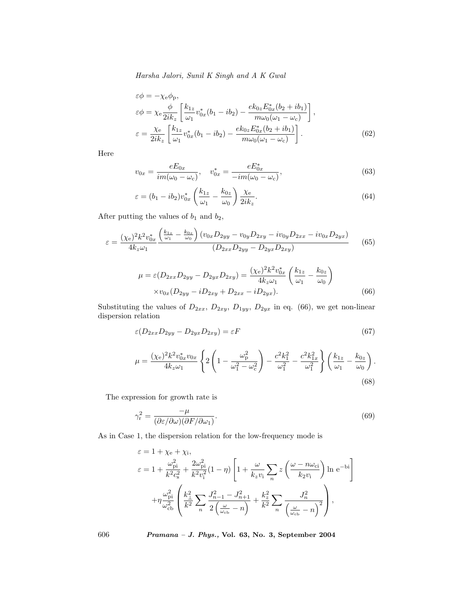$$
\varepsilon \phi = -\chi_{e} \phi_{p},
$$
\n
$$
\varepsilon \phi = \chi_{e} \frac{\phi}{2ik_{z}} \left[ \frac{k_{1z}}{\omega_{1}} v_{0x}^{*} (b_{1} - ib_{2}) - \frac{ek_{0z} E_{0x}^{*} (b_{2} + ib_{1})}{m \omega_{0} (\omega_{1} - \omega_{c})} \right],
$$
\n
$$
\varepsilon = \frac{\chi_{e}}{2ik_{z}} \left[ \frac{k_{1z}}{\omega_{1}} v_{0x}^{*} (b_{1} - ib_{2}) - \frac{ek_{0z} E_{0x}^{*} (b_{2} + ib_{1})}{m \omega_{0} (\omega_{1} - \omega_{c})} \right].
$$
\n(62)

Here

$$
v_{0x} = \frac{eE_{0x}}{im(\omega_0 - \omega_c)}, \quad v_{0x}^* = \frac{eE_{0x}^*}{-im(\omega_0 - \omega_c)},
$$
(63)

$$
\varepsilon = (b_1 - ib_2)v_{0x}^* \left(\frac{k_{1z}}{\omega_1} - \frac{k_{0z}}{\omega_0}\right) \frac{\chi_e}{2ik_z}.
$$
\n(64)

After putting the values of  $\mathfrak{b}_1$  and  $\mathfrak{b}_2,$ 

$$
\varepsilon = \frac{(\chi_e)^2 k^2 v_{0x}^*}{4k_z \omega_1} \frac{\left(\frac{k_{1z}}{\omega_1} - \frac{k_{0z}}{\omega_0}\right) (v_{0x} D_{2yy} - v_{0y} D_{2xy} - iv_{0y} D_{2xx} - iv_{0x} D_{2yx})}{(D_{2xx} D_{2yy} - D_{2yx} D_{2xy})} \tag{65}
$$

$$
\mu = \varepsilon (D_{2xx} D_{2yy} - D_{2yx} D_{2xy}) = \frac{(\chi_e)^2 k^2 v_{0x}^*}{4k_z \omega_1} \left(\frac{k_{1z}}{\omega_1} - \frac{k_{0z}}{\omega_0}\right)
$$
  
× $v_{0x} (D_{2yy} - i D_{2xy} + D_{2xx} - i D_{2yx}).$  (66)

Substituting the values of  $D_{2xx}$ ,  $D_{2xy}$ ,  $D_{1yy}$ ,  $D_{2yx}$  in eq. (66), we get non-linear dispersion relation

$$
\varepsilon(D_{2xx}D_{2yy}-D_{2yx}D_{2xy})=\varepsilon F\tag{67}
$$

$$
\mu = \frac{(\chi_{\rm e})^2 k^2 v_{0x}^* v_{0x}}{4k_z \omega_1} \left\{ 2 \left( 1 - \frac{\omega_{\rm p}^2}{\omega_1^2 - \omega_{\rm c}^2} \right) - \frac{c^2 k_1^2}{\omega_1^2} - \frac{c^2 k_{1x}^2}{\omega_1^2} \right\} \left( \frac{k_{1z}}{\omega_1} - \frac{k_{0z}}{\omega_0} \right). \tag{68}
$$

The expression for growth rate is

$$
\gamma_{\rm r}^2 = \frac{-\mu}{(\partial \varepsilon / \partial \omega)(\partial F / \partial \omega_1)}.\tag{69}
$$

As in Case 1, the dispersion relation for the low-frequency mode is

$$
\varepsilon = 1 + \chi_{\rm e} + \chi_{\rm i},
$$
\n
$$
\varepsilon = 1 + \frac{\omega_{\rm pi}^2}{k^2 c_s^2} + \frac{2\omega_{\rm pi}^2}{k^2 v_i^2} (1 - \eta) \left[ 1 + \frac{\omega}{k_z v_i} \sum_n z \left( \frac{\omega - n\omega_{\rm ci}}{k_2 v_i} \right) \ln e^{-\text{bi}} \right]
$$
\n
$$
+ \eta \frac{\omega_{\rm pi}^2}{\omega_{\rm cb}^2} \left( \frac{k_\perp^2}{k^2} \sum_n \frac{J_{n-1}^2 - J_{n+1}^2}{2\left( \frac{\omega}{\omega_{\rm cb}} - n \right)} + \frac{k_z^2}{k^2} \sum_n \frac{J_n^2}{\left( \frac{\omega}{\omega_{\rm cb}} - n \right)^2} \right),
$$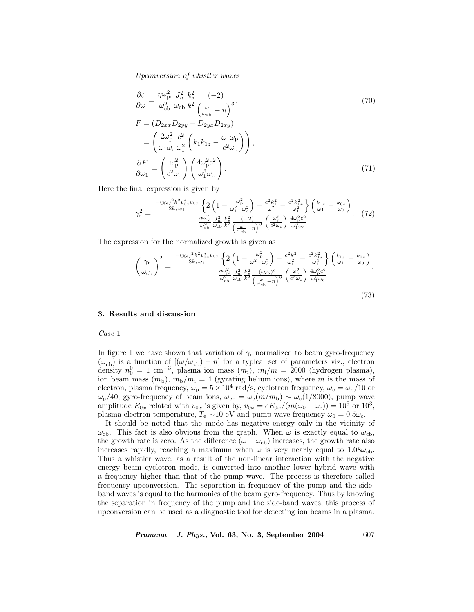$$
\frac{\partial \varepsilon}{\partial \omega} = \frac{\eta \omega_{\rm p}^2}{\omega_{\rm cb}^2} \frac{J_n^2}{\omega_{\rm cb} k^2} \frac{k_z^2}{\left(\frac{\omega}{\omega_{\rm cb}} - n\right)^3},
$$
\n
$$
F = (D_{2xx} D_{2yy} - D_{2yx} D_{2xy})
$$
\n
$$
= \left(\frac{2\omega_{\rm p}^2}{\omega_1 \omega_{\rm c}} \frac{c^2}{\omega_1^2} \left(k_1 k_{1z} - \frac{\omega_1 \omega_{\rm p}}{c^2 \omega_{\rm c}}\right)\right),
$$
\n
$$
\frac{\partial F}{\partial \omega_1} = \left(\frac{\omega_{\rm p}^2}{c^2 \omega_{\rm c}}\right) \left(\frac{4\omega_{\rm p}^2 c^2}{\omega_1^3 \omega_{\rm c}}\right).
$$
\n(71)

Here the final expression is given by

$$
\gamma_{\rm r}^{2} = \frac{\frac{-(\chi_{\rm e})^{2}k^{2}v_{0x}^{*}v_{0x}}{2k_{z}\omega_{1}} \left\{ 2\left(1 - \frac{\omega_{\rm p}^{2}}{\omega_{\rm r}^{2} - \omega_{\rm c}^{2}}\right) - \frac{c^{2}k_{1}^{2}}{\omega_{1}^{2}} - \frac{c^{2}k_{1x}^{2}}{\omega_{1}^{2}} \right\} \left(\frac{k_{1z}}{\omega_{1}} - \frac{k_{0z}}{\omega_{0}}\right)}{\frac{\eta\omega_{\rm p}^{2}}{\omega_{\rm cb}^{2}} \frac{J_{n}^{2}}{\omega_{\rm cb}^{2}} \frac{k_{z}^{2}}{k^{2}} \left(-2\right)} \left(\frac{\omega_{\rm p}^{2}}{\omega_{\rm cb}^{2}}\right) \frac{4\omega_{\rm p}^{2}c^{2}}{\omega_{1}^{3}\omega_{\rm c}}}
$$
(72)

The expression for the normalized growth is given as

$$
\left(\frac{\gamma_{\rm r}}{\omega_{\rm cb}}\right)^2 = \frac{\frac{-(\chi_{\rm e})^2 k^2 v_{0x}^* v_{0x}}{8 k_z \omega_1} \left\{2\left(1 - \frac{\omega_{\rm p}^2}{\omega_1^2 - \omega_c^2}\right) - \frac{c^2 k_1^2}{\omega_1^2} - \frac{c^2 k_{1x}^2}{\omega_1^2}\right\} \left(\frac{k_{1z}}{\omega_1} - \frac{k_{0z}}{\omega_0}\right)}{\frac{\eta \omega_{\rm pi}^2}{\omega_{\rm cb}^2} \frac{J_n^2}{\omega_{\rm cb} k^2} \frac{k_z^2}{\left(\frac{\omega}{\omega_{\rm cb}} - n\right)^3} \left(\frac{\omega_{\rm p}^2}{c^2 \omega_{\rm c}}\right) \frac{4\omega_{\rm p}^2 c^2}{\omega_1^3 \omega_{\rm c}}}}.\tag{73}
$$

### 3. Results and discussion

Case 1

In figure 1 we have shown that variation of  $\gamma_r$  normalized to beam gyro-frequency  $(\omega_{\text{cb}})$  is a function of  $[(\omega/\omega_{\text{cb}}) - n]$  for a typical set of parameters viz., electron density  $n_0^0 = 1$  cm<sup>-3</sup>, plasma ion mass  $(m_i)$ ,  $m_i/m = 2000$  (hydrogen plasma), ion beam mass  $(m_b)$ ,  $m_b/m_i = 4$  (gyrating helium ions), where m is the mass of electron, plasma frequency,  $\omega_{\rm p} = 5 \times 10^4$  rad/s, cyclotron frequency,  $\omega_{\rm c} = \omega_{\rm p}/10$  or  $ω<sub>p</sub>/40$ , gyro-frequency of beam ions,  $ω<sub>cb</sub> = ω<sub>c</sub>(m/m<sub>b</sub>) ~ ω<sub>c</sub>(1/8000)$ , pump wave amplitude  $E_{0x}$  related with  $v_{0x}$  is given by,  $v_{0x} = eE_{0x}/(m(\omega_0 - \omega_c)) = 10^5$  or  $10^3$ , plasma electron temperature,  $T_e \sim 10$  eV and pump wave frequency  $\omega_0 = 0.5\omega_c$ .

It should be noted that the mode has negative energy only in the vicinity of  $\omega_{\rm cb}$ . This fact is also obvious from the graph. When  $\omega$  is exactly equal to  $\omega_{\rm cb}$ , the growth rate is zero. As the difference  $(\omega - \omega_{cb})$  increases, the growth rate also increases rapidly, reaching a maximum when  $\omega$  is very nearly equal to 1.08 $\omega_{\rm cb}$ . Thus a whistler wave, as a result of the non-linear interaction with the negative energy beam cyclotron mode, is converted into another lower hybrid wave with a frequency higher than that of the pump wave. The process is therefore called frequency upconversion. The separation in frequency of the pump and the sideband waves is equal to the harmonics of the beam gyro-frequency. Thus by knowing the separation in frequency of the pump and the side-band waves, this process of upconversion can be used as a diagnostic tool for detecting ion beams in a plasma.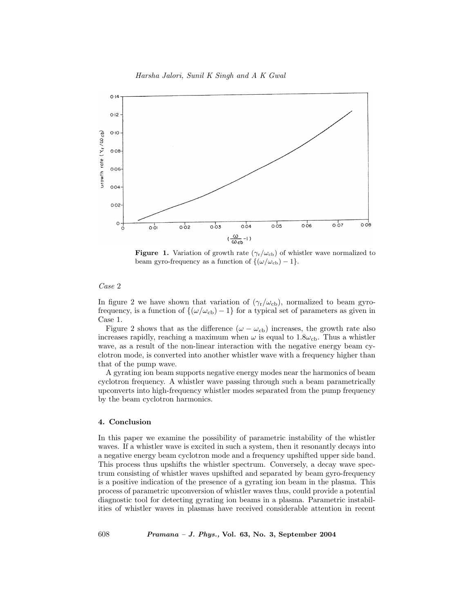

**Figure 1.** Variation of growth rate  $(\gamma_r/\omega_{cb})$  of whistler wave normalized to beam gyro-frequency as a function of  $\{(\omega/\omega_{\text{cb}}) - 1\}.$ 

#### Case 2

In figure 2 we have shown that variation of  $(\gamma_r/\omega_{cb})$ , normalized to beam gyrofrequency, is a function of  $\{(\omega/\omega_{\rm cb})-1\}$  for a typical set of parameters as given in Case 1.

Figure 2 shows that as the difference  $(\omega - \omega_{cb})$  increases, the growth rate also increases rapidly, reaching a maximum when  $\omega$  is equal to 1.8 $\omega_{\rm cb}$ . Thus a whistler wave, as a result of the non-linear interaction with the negative energy beam cyclotron mode, is converted into another whistler wave with a frequency higher than that of the pump wave.

A gyrating ion beam supports negative energy modes near the harmonics of beam cyclotron frequency. A whistler wave passing through such a beam parametrically upconverts into high-frequency whistler modes separated from the pump frequency by the beam cyclotron harmonics.

## 4. Conclusion

In this paper we examine the possibility of parametric instability of the whistler waves. If a whistler wave is excited in such a system, then it resonantly decays into a negative energy beam cyclotron mode and a frequency upshifted upper side band. This process thus upshifts the whistler spectrum. Conversely, a decay wave spectrum consisting of whistler waves upshifted and separated by beam gyro-frequency is a positive indication of the presence of a gyrating ion beam in the plasma. This process of parametric upconversion of whistler waves thus, could provide a potential diagnostic tool for detecting gyrating ion beams in a plasma. Parametric instabilities of whistler waves in plasmas have received considerable attention in recent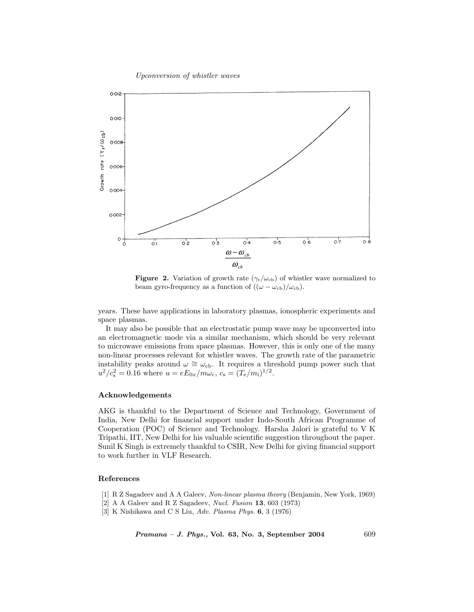Upconversion of whistler waves



**Figure 2.** Variation of growth rate  $(\gamma_r/\omega_{cb})$  of whistler wave normalized to beam gyro-frequency as a function of  $((\omega - \omega_{\rm cb})/\omega_{\rm cb})$ .

years. These have applications in laboratory plasmas, ionospheric experiments and space plasmas.

It may also be possible that an electrostatic pump wave may be upconverted into an electromagnetic mode via a similar mechanism, which should be very relevant to microwave emissions from space plasmas. However, this is only one of the many non-linear processes relevant for whistler waves. The growth rate of the parametric instability peaks around  $\omega \cong \omega_{cb}$ . It requires a threshold pump power such that  $u^2/c_s^2 = 0.16$  where  $u = eE_{0x}/m\omega_c$ ,  $c_s = (T_e/m_i)^{1/2}$ .

## Acknowledgements

AKG is thankful to the Department of Science and Technology, Government of India, New Delhi for financial support under Indo-South African Programme of Cooperation (POC) of Science and Technology. Harsha Jalori is grateful to V K Tripathi, IIT, New Delhi for his valuable scientific suggestion throughout the paper. Sunil K Singh is extremely thankful to CSIR, New Delhi for giving financial support to work further in VLF Research.

# References

- [1] R Z Sagadeev and A A Galeev, Non-linear plasma theory (Benjamin, New York, 1969)
- [2] A A Galeev and R Z Sagadeev, Nucl. Fusion 13, 603 (1973)
- [3] K Nishikawa and C S Liu, Adv. Plasma Phys. 6, 3 (1976)